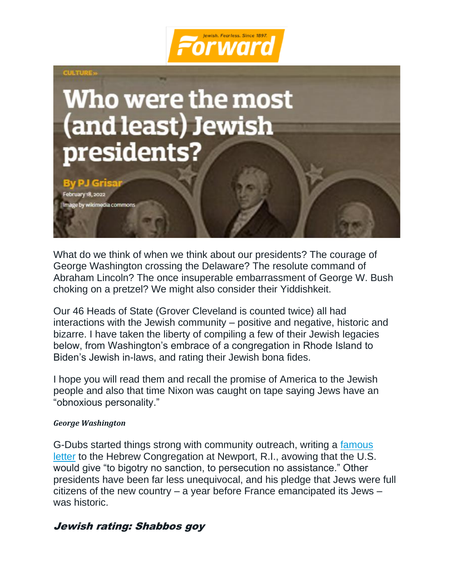



What do we think of when we think about our presidents? The courage of George Washington crossing the Delaware? The resolute command of Abraham Lincoln? The once insuperable embarrassment of George W. Bush choking on a pretzel? We might also consider their Yiddishkeit.

Our 46 Heads of State (Grover Cleveland is counted twice) all had interactions with the Jewish community – positive and negative, historic and bizarre. I have taken the liberty of compiling a few of their Jewish legacies below, from Washington's embrace of a congregation in Rhode Island to Biden's Jewish in-laws, and rating their Jewish bona fides.

I hope you will read them and recall the promise of America to the Jewish people and also that time Nixon was caught on tape saying Jews have an "obnoxious personality."

#### *George Washington*

G-Dubs started things strong with community outreach, writing a [famous](https://forward.com/news/138689/solving-the-mystery-of-washington-s-famous-lette/)  [letter](https://forward.com/news/138689/solving-the-mystery-of-washington-s-famous-lette/) to the Hebrew Congregation at Newport, R.I., avowing that the U.S. would give "to bigotry no sanction, to persecution no assistance." Other presidents have been far less unequivocal, and his pledge that Jews were full citizens of the new country – a year before France emancipated its Jews – was historic.

## Jewish rating: Shabbos goy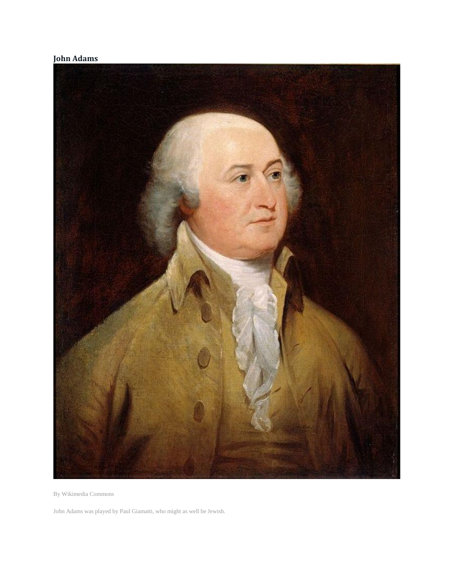### **John Adams**



By Wikimedia Commons

John Adams was played by Paul Giamatti, who might as well be Jewish.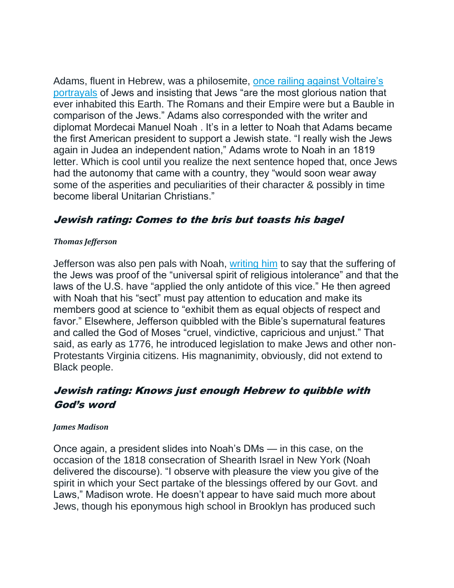Adams, fluent in Hebrew, was a philosemite, once railing against Voltaire's [portrayals](https://www.myjewishlearning.com/article/john-adams-and-the-jews/) of Jews and insisting that Jews "are the most glorious nation that ever inhabited this Earth. The Romans and their Empire were but a Bauble in comparison of the Jews." Adams also corresponded with the writer and diplomat Mordecai Manuel Noah . It's in a letter to Noah that Adams became the first American president to support a Jewish state. "I really wish the Jews again in Judea an independent nation," Adams wrote to Noah in an 1819 letter. Which is cool until you realize the next sentence hoped that, once Jews had the autonomy that came with a country, they "would soon wear away some of the asperities and peculiarities of their character & possibly in time become liberal Unitarian Christians."

## Jewish rating: Comes to the bris but toasts his bagel

### *Thomas Jefferson*

Jefferson was also pen pals with Noah, [writing him](https://www.monticello.org/site/research-and-collections/jews-and-judaism) to say that the suffering of the Jews was proof of the "universal spirit of religious intolerance" and that the laws of the U.S. have "applied the only antidote of this vice." He then agreed with Noah that his "sect" must pay attention to education and make its members good at science to "exhibit them as equal objects of respect and favor." Elsewhere, Jefferson quibbled with the Bible's supernatural features and called the God of Moses "cruel, vindictive, capricious and unjust." That said, as early as 1776, he introduced legislation to make Jews and other non-Protestants Virginia citizens. His magnanimity, obviously, did not extend to Black people.

# Jewish rating: Knows just enough Hebrew to quibble with God's word

### *James Madison*

Once again, a president slides into Noah's DMs — in this case, on the occasion of the 1818 consecration of Shearith Israel in New York (Noah delivered the discourse). "I observe with pleasure the view you give of the spirit in which your Sect partake of the blessings offered by our Govt. and Laws," Madison wrote. He doesn't appear to have said much more about Jews, though his eponymous high school in Brooklyn has produced such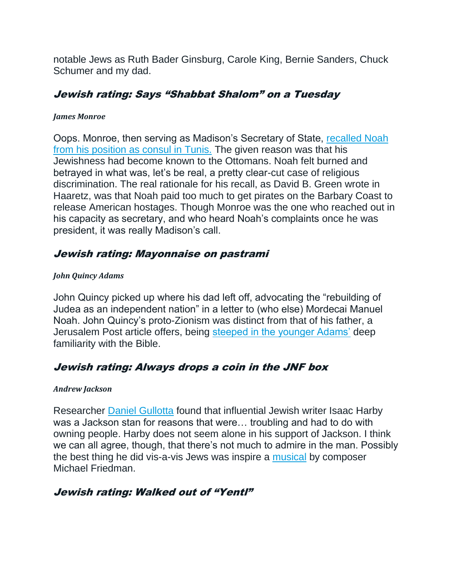notable Jews as Ruth Bader Ginsburg, Carole King, Bernie Sanders, Chuck Schumer and my dad.

# Jewish rating: Says "Shabbat Shalom" on a Tuesday

### *James Monroe*

Oops. Monroe, then serving as Madison's Secretary of State, [recalled Noah](https://www.haaretz.com/jewish/.premium-1816-u-s-recalls-consul-from-tunisia-1.5239653)  [from his position as consul in Tunis.](https://www.haaretz.com/jewish/.premium-1816-u-s-recalls-consul-from-tunisia-1.5239653) The given reason was that his Jewishness had become known to the Ottomans. Noah felt burned and betrayed in what was, let's be real, a pretty clear-cut case of religious discrimination. The real rationale for his recall, as David B. Green wrote in Haaretz, was that Noah paid too much to get pirates on the Barbary Coast to release American hostages. Though Monroe was the one who reached out in his capacity as secretary, and who heard Noah's complaints once he was president, it was really Madison's call.

# Jewish rating: Mayonnaise on pastrami

## *John Quincy Adams*

John Quincy picked up where his dad left off, advocating the "rebuilding of Judea as an independent nation" in a letter to (who else) Mordecai Manuel Noah. John Quincy's proto-Zionism was distinct from that of his father, a Jerusalem Post article offers, being [steeped in the younger Adams'](https://www.jpost.com/christian-news/john-quincy-adams-supporting-the-jewish-homeland-with-the-bible-in-hand-482375) deep familiarity with the Bible.

# Jewish rating: Always drops a coin in the JNF box

## *Andrew Jackson*

Researcher [Daniel Gullotta](https://blogs.cofc.edu/southern-studies-minor/2020/01/18/isaac-harby-and-andrew-jackson-research-from-center-for-southern-jewish-culture/) found that influential Jewish writer Isaac Harby was a Jackson stan for reasons that were… troubling and had to do with owning people. Harby does not seem alone in his support of Jackson. I think we can all agree, though, that there's not much to admire in the man. Possibly the best thing he did vis-a-vis Jews was inspire a [musical](https://en.wikipedia.org/wiki/Bloody_Bloody_Andrew_Jackson) by composer Michael Friedman.

# Jewish rating: Walked out of "Yentl"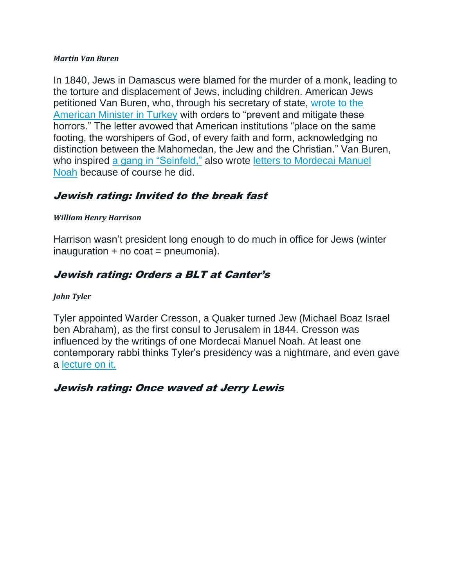#### *Martin Van Buren*

In 1840, Jews in Damascus were blamed for the murder of a monk, leading to the torture and displacement of Jews, including children. American Jews petitioned Van Buren, who, through his secretary of state, [wrote to](https://njop.org/presidents-day-the-jews-and-martin-van-buren/) the [American Minister in Turkey](https://njop.org/presidents-day-the-jews-and-martin-van-buren/) with orders to "prevent and mitigate these horrors." The letter avowed that American institutions "place on the same footing, the worshipers of God, of every faith and form, acknowledging no distinction between the Mahomedan, the Jew and the Christian." Van Buren, who inspired [a gang in "Seinfeld,"](https://en.wikipedia.org/wiki/The_Van_Buren_Boys) also wrote [letters to Mordecai Manuel](https://www.jstor.org/stable/pdf/43057928.pdf)  [Noah](https://www.jstor.org/stable/pdf/43057928.pdf) because of course he did.

# Jewish rating: Invited to the break fast

### *William Henry Harrison*

Harrison wasn't president long enough to do much in office for Jews (winter  $inauguration + no coat = pneumonia).$ 

# Jewish rating: Orders a BLT at Canter'<sup>s</sup>

### *John Tyler*

Tyler appointed Warder Cresson, a Quaker turned Jew (Michael Boaz Israel ben Abraham), as the first consul to Jerusalem in 1844. Cresson was influenced by the writings of one Mordecai Manuel Noah. At least one contemporary rabbi thinks Tyler's presidency was a nightmare, and even gave a [lecture on it.](https://pasyn.org/calendar/accident-waiting-happen-president-john-tyler-and-jews)

## Jewish rating: Once waved at Jerry Lewis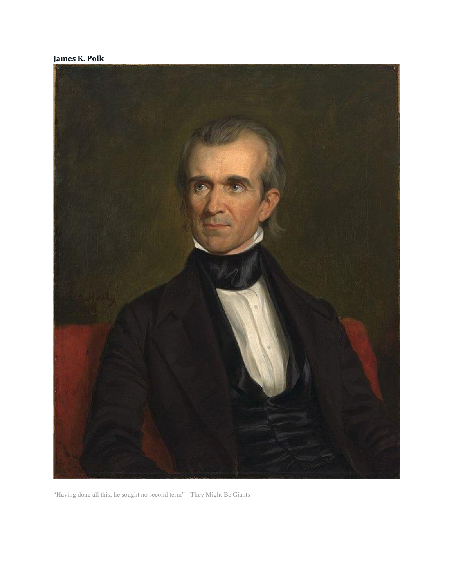



"Having done all this, he sought no second term" - They Might Be Giants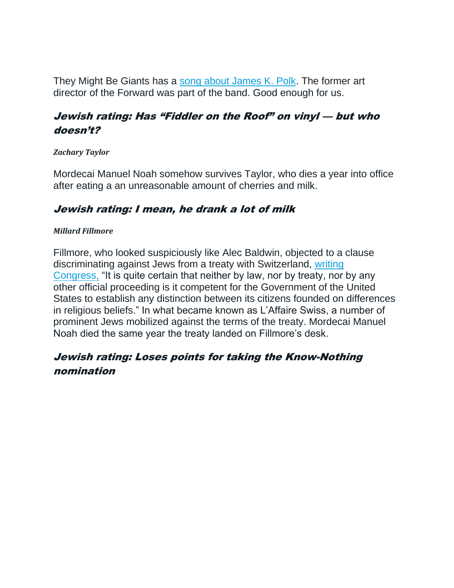They Might Be Giants has a [song about James K. Polk.](https://www.youtube.com/watch?v=H9SvJMZs5Rs) The former art director of the Forward was part of the band. Good enough for us.

# Jewish rating: Has "Fiddler on the Roof" on vinyl — but who doesn't?

### *Zachary Taylor*

Mordecai Manuel Noah somehow survives Taylor, who dies a year into office after eating a an unreasonable amount of cherries and milk.

## Jewish rating: I mean, he drank a lot of milk

### *Millard Fillmore*

Fillmore, who looked suspiciously like Alec Baldwin, objected to a clause discriminating against Jews from a treaty with Switzerland, [writing](https://www.presidency.ucsb.edu/documents/special-message-3387)  [Congress,](https://www.presidency.ucsb.edu/documents/special-message-3387) "It is quite certain that neither by law, nor by treaty, nor by any other official proceeding is it competent for the Government of the United States to establish any distinction between its citizens founded on differences in religious beliefs." In what became known as L'Affaire Swiss, a number of prominent Jews mobilized against the terms of the treaty. Mordecai Manuel Noah died the same year the treaty landed on Fillmore's desk.

# Jewish rating: Loses points for taking the Know-Nothing nomination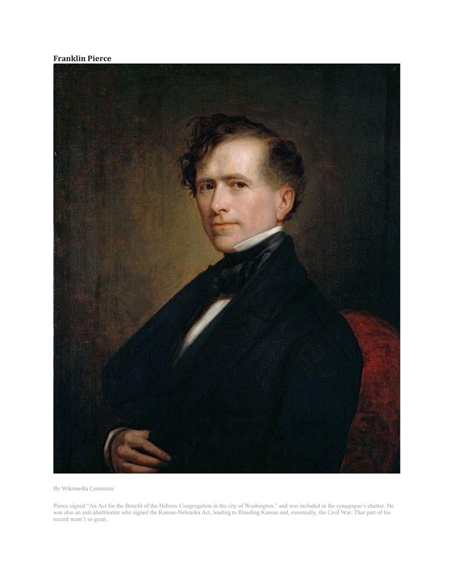#### **Franklin Pierce**



By Wikimedia Commons

Pierce signed "An Act for the Benefit of the Hebrew Congregation in the city of Washington," and was included in the synagogue's charter. He was also an anti-abolitionist who signed the Kansas-Nebraska Act, leading to Bleeding Kansas and, eventually, the Civil War. That part of his record wasn't so great.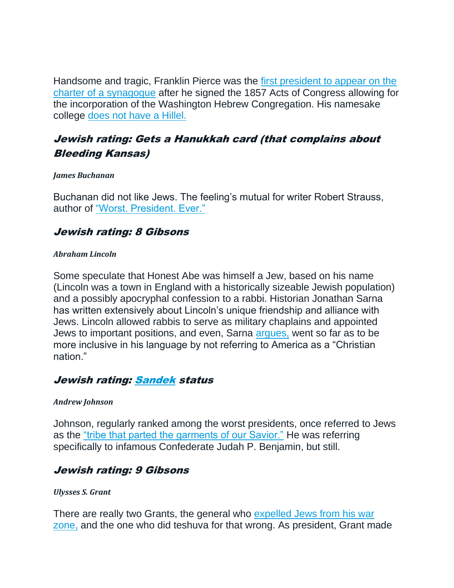Handsome and tragic, Franklin Pierce was the [first president to appear on the](http://www.astoriacenter.org/spiritual-life/message-from-the-rabbi/januaryfebruary-2016)  [charter of a synagogue](http://www.astoriacenter.org/spiritual-life/message-from-the-rabbi/januaryfebruary-2016) after he signed the 1857 Acts of Congress allowing for the incorporation of the Washington Hebrew Congregation. His namesake college [does not have a Hillel.](https://www.hillel.org/college-guide/list/record/franklin-pierce-college)

# Jewish rating: Gets a Hanukkah card (that complains about Bleeding Kansas)

#### *James Buchanan*

Buchanan did not like Jews. The feeling's mutual for writer Robert Strauss, author of ["Worst. President. Ever."](https://www.atlantajewishtimes.com/james-buchanan-fail/)

## Jewish rating: 8 Gibsons

#### *Abraham Lincoln*

Some speculate that Honest Abe was himself a Jew, based on his name (Lincoln was a town in England with a historically sizeable Jewish population) and a possibly apocryphal confession to a rabbi. Historian Jonathan Sarna has written extensively about Lincoln's unique friendship and alliance with Jews. Lincoln allowed rabbis to serve as military chaplains and appointed Jews to important positions, and even, Sarna [argues,](https://historynewsnetwork.org/article/158680) went so far as to be more inclusive in his language by not referring to America as a "Christian nation."

## Jewish rating: [Sandek](https://en.wikipedia.org/wiki/Sandek) status

#### *Andrew Johnson*

Johnson, regularly ranked among the worst presidents, once referred to Jews as the ["tribe that parted the garments of our Savior."](https://books.google.com/books?id=QBAtEAAAQBAJ&pg=PA70&lpg=PA70&dq=%22tribe+that+parted+the+garments+of+our+Savior%22&source=bl&ots=hGRiOVNAvG&sig=ACfU3U1oNZ40r-n3xxd891P-tYzVarKwxA&hl=en&sa=X&ved=2ahUKEwiAh7P1sYL2AhUcj4kEHYx4CkwQ6AF6BAgCEAM#v=onepage&q=%22tribe%20that%20parted%20the%20garments%20of%20our%20Savior%22&f=false) He was referring specifically to infamous Confederate Judah P. Benjamin, but still.

## Jewish rating: 9 Gibsons

#### *Ulysses S. Grant*

There are really two Grants, the general who expelled Jews from his war [zone,](https://www.history.com/this-day-in-history/grant-expels-the-jews-from-his-department) and the one who did teshuva for that wrong. As president, Grant made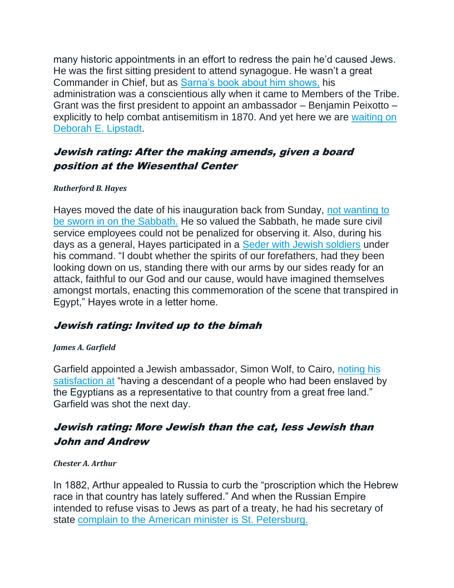many historic appointments in an effort to redress the pain he'd caused Jews. He was the first sitting president to attend synagogue. He wasn't a great Commander in Chief, but as [Sarna's book about him shows,](https://www.amazon.com/General-Grant-Expelled-Jewish-Encounters/dp/0805212337?tag=thefor03-20) his administration was a conscientious ally when it came to Members of the Tribe. Grant was the first president to appoint an ambassador – Benjamin Peixotto – explicitly to help combat antisemitism in 1870. And yet here we are [waiting on](https://forward.com/news/482149/republicans-defend-holdup-of-deborah-lipstadt-antisemitism-envoy/)  [Deborah E. Lipstadt.](https://forward.com/news/482149/republicans-defend-holdup-of-deborah-lipstadt-antisemitism-envoy/)

# Jewish rating: After the making amends, given a board position at the Wiesenthal Center

### *Rutherford B. Hayes*

Hayes moved the date of his inauguration back from Sunday, [not wanting to](https://unrememberedhistory.com/2017/01/19/in-1877-president-elect-rutherford-b-hayes-was-privately-sworn-in-two-days-early-heres-why/)  [be sworn in on the Sabbath.](https://unrememberedhistory.com/2017/01/19/in-1877-president-elect-rutherford-b-hayes-was-privately-sworn-in-two-days-early-heres-why/) He so valued the Sabbath, he made sure civil service employees could not be penalized for observing it. Also, during his days as a general, Hayes participated in a [Seder with Jewish soldiers](https://www.arkansasonline.com/news/2016/mar/24/jewish-soldiers-celebrate-passover-in-c/) under his command. "I doubt whether the spirits of our forefathers, had they been looking down on us, standing there with our arms by our sides ready for an attack, faithful to our God and our cause, would have imagined themselves amongst mortals, enacting this commemoration of the scene that transpired in Egypt," Hayes wrote in a letter home.

## Jewish rating: Invited up to the bimah

### *James A. Garfield*

Garfield appointed a Jewish ambassador, Simon Wolf, to Cairo, [noting his](https://16thstreet.tumblr.com/post/17775037167/circa-1942-text-on-back-of-photograph-president)  [satisfaction at](https://16thstreet.tumblr.com/post/17775037167/circa-1942-text-on-back-of-photograph-president) "having a descendant of a people who had been enslaved by the Egyptians as a representative to that country from a great free land." Garfield was shot the next day.

## Jewish rating: More Jewish than the cat, less Jewish than John and Andrew

#### *Chester A. Arthur*

In 1882, Arthur appealed to Russia to curb the "proscription which the Hebrew race in that country has lately suffered." And when the Russian Empire intended to refuse visas to Jews as part of a treaty, he had his secretary of state [complain to the American minister is St. Petersburg.](https://www.gutenberg.org/files/31385/31385-h/31385-h.htm)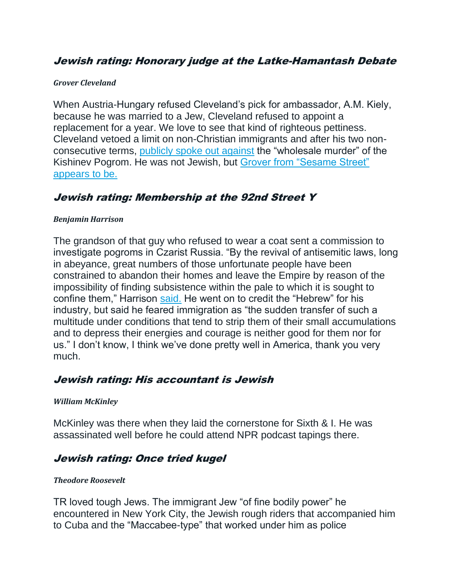## Jewish rating: Honorary judge at the Latke-Hamantash Debate

#### *Grover Cleveland*

When Austria-Hungary refused Cleveland's pick for ambassador, A.M. Kiely, because he was married to a Jew, Cleveland refused to appoint a replacement for a year. We love to see that kind of righteous pettiness. Cleveland vetoed a limit on non-Christian immigrants and after his two nonconsecutive terms, [publicly spoke out against](https://www.jstor.org/stable/23877915) the "wholesale murder" of the Kishinev Pogrom. He was not Jewish, but [Grover from "Sesame Street"](https://www.amazon.com/Passover-Grover-Sesame-Street-Pictureback/dp/0525647228?tag=thefor03-20)  [appears to be.](https://www.amazon.com/Passover-Grover-Sesame-Street-Pictureback/dp/0525647228?tag=thefor03-20)

## Jewish rating: Membership at the 92nd Street Y

#### *Benjamin Harrison*

The grandson of that guy who refused to wear a coat sent a commission to investigate pogroms in Czarist Russia. "By the revival of antisemitic laws, long in abeyance, great numbers of those unfortunate people have been constrained to abandon their homes and leave the Empire by reason of the impossibility of finding subsistence within the pale to which it is sought to confine them," Harrison [said.](http://www.stateoftheunionhistory.com/2015/07/1891-benjamin-harrison-jewish-exodus.html) He went on to credit the "Hebrew" for his industry, but said he feared immigration as "the sudden transfer of such a multitude under conditions that tend to strip them of their small accumulations and to depress their energies and courage is neither good for them nor for us." I don't know, I think we've done pretty well in America, thank you very much.

## Jewish rating: His accountant is Jewish

#### *William McKinley*

McKinley was there when they laid the cornerstone for Sixth & I. He was assassinated well before he could attend NPR podcast tapings there.

## Jewish rating: Once tried kugel

#### *Theodore Roosevelt*

TR loved tough Jews. The immigrant Jew "of fine bodily power" he encountered in New York City, the Jewish rough riders that accompanied him to Cuba and the "Maccabee-type" that worked under him as police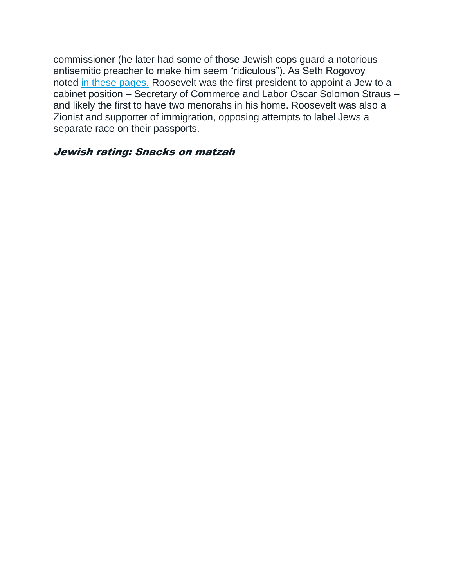commissioner (he later had some of those Jewish cops guard a notorious antisemitic preacher to make him seem "ridiculous"). As Seth Rogovoy noted [in these pages,](https://forward.com/culture/449269/the-secret-jewish-history-of-teddy-roosevelt/) Roosevelt was the first president to appoint a Jew to a cabinet position – Secretary of Commerce and Labor Oscar Solomon Straus – and likely the first to have two menorahs in his home. Roosevelt was also a Zionist and supporter of immigration, opposing attempts to label Jews a separate race on their passports.

### Jewish rating: Snacks on matzah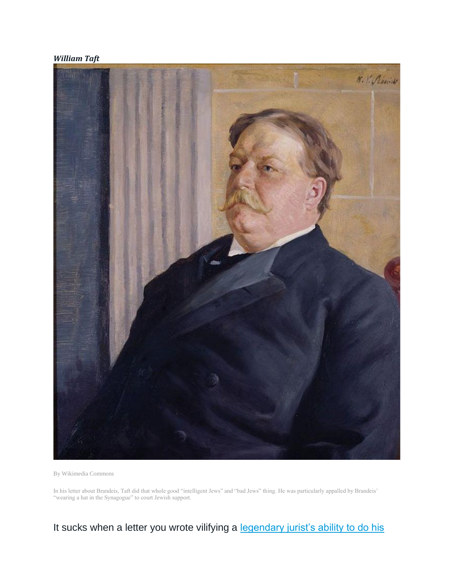#### *William Taft*



By Wikimedia Commons

In his letter about Brandeis, Taft did that whole good "intelligent Jews" and "bad Jews" thing. He was particularly appalled by Brandeis' "wearing a hat in the Synagogue" to court Jewish support.

It sucks when a letter you wrote vilifying a legendary jurist's ability to do his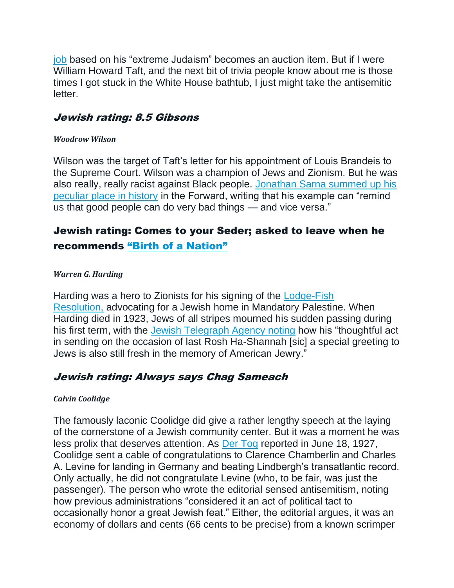[job](https://forward.com/news/breaking-news/339434/anti-semitic-letter-from-president-william-taft-opposing-louis-brandeis-hit/) based on his "extreme Judaism" becomes an auction item. But if I were William Howard Taft, and the next bit of trivia people know about me is those times I got stuck in the White House bathtub, I just might take the antisemitic letter.

## Jewish rating: 8.5 Gibsons

### *Woodrow Wilson*

Wilson was the target of Taft's letter for his appointment of Louis Brandeis to the Supreme Court. Wilson was a champion of Jews and Zionism. But he was also really, really racist against Black people. [Jonathan Sarna summed up his](https://forward.com/opinion/450092/woodrow-wilson-was-a-hero-to-jews-what-should-we-do-with-his-racism/)  [peculiar place](https://forward.com/opinion/450092/woodrow-wilson-was-a-hero-to-jews-what-should-we-do-with-his-racism/) in history in the Forward, writing that his example can "remind us that good people can do very bad things — and vice versa."

# Jewish rating: Comes to your Seder; asked to leave when he recommends ["Birth of a Nation"](https://www.jstor.org/stable/20799409#:~:text=In%20February%201915%2C%20upon%20viewing,over%20the%20past%20seventy%20years.)

### *Warren G. Harding*

Harding was a hero to Zionists for his signing of the [Lodge-Fish](https://www.worldjewishcongress.org/en/news/this-week-in-jewish-history--us-president-harding-signs-resolution-calling-for-the-establishment-of-a-jewish-national-home-9-2-2020?print=true)  [Resolution,](https://www.worldjewishcongress.org/en/news/this-week-in-jewish-history--us-president-harding-signs-resolution-calling-for-the-establishment-of-a-jewish-national-home-9-2-2020?print=true) advocating for a Jewish home in Mandatory Palestine. When Harding died in 1923, Jews of all stripes mourned his sudden passing during his first term, with the [Jewish Telegraph Agency noting](https://www.jta.org/archive/jews-mourn-president-harding) how his "thoughtful act in sending on the occasion of last Rosh Ha-Shannah [sic] a special greeting to Jews is also still fresh in the memory of American Jewry."

# Jewish rating: Always says Chag Sameach

## *Calvin Coolidge*

The famously laconic Coolidge did give a rather lengthy speech at the laying of the cornerstone of a Jewish community center. But it was a moment he was less prolix that deserves attention. As [Der Tog](https://www.yiddishradioproject.org/exhibits/levine/president.php3?pg=2) reported in June 18, 1927, Coolidge sent a cable of congratulations to Clarence Chamberlin and Charles A. Levine for landing in Germany and beating Lindbergh's transatlantic record. Only actually, he did not congratulate Levine (who, to be fair, was just the passenger). The person who wrote the editorial sensed antisemitism, noting how previous administrations "considered it an act of political tact to occasionally honor a great Jewish feat." Either, the editorial argues, it was an economy of dollars and cents (66 cents to be precise) from a known scrimper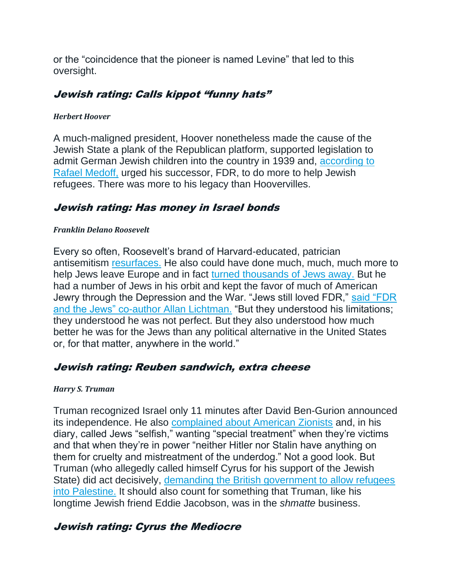or the "coincidence that the pioneer is named Levine" that led to this oversight.

# Jewish rating: Calls kippot "funny hats"

### *Herbert Hoover*

A much-maligned president, Hoover nonetheless made the cause of the Jewish State a plank of the Republican platform, supported legislation to admit German Jewish children into the country in 1939 and, [according to](https://www.washingtonpost.com/blogs/right-turn/post/herbert-hoover-american-jews-and-the-gop/2012/04/20/gIQAkzIpVT_blog.html)  [Rafael Medoff,](https://www.washingtonpost.com/blogs/right-turn/post/herbert-hoover-american-jews-and-the-gop/2012/04/20/gIQAkzIpVT_blog.html) urged his successor, FDR, to do more to help Jewish refugees. There was more to his legacy than Hoovervilles.

# Jewish rating: Has money in Israel bonds

### *Franklin Delano Roosevelt*

Every so often, Roosevelt's brand of Harvard-educated, patrician antisemitism [resurfaces.](https://www.latimes.com/opinion/la-xpm-2013-apr-07-la-oe-medoff-roosevelt-holocaust-20130407-story.html) He also could have done much, much, much more to help Jews leave Europe and in fact [turned thousands of Jews away.](https://www.smithsonianmag.com/history/us-government-turned-away-thousands-jewish-refugees-fearing-they-were-nazi-spies-180957324/) But he had a number of Jews in his orbit and kept the favor of much of American Jewry through the Depression and the War. "Jews still loved FDR," [said "FDR](https://www.npr.org/2013/03/18/174125891/fdr-and-the-jews-puts-roosevelts-compromises-in-context)  [and the Jews" co-author Allan Lichtman.](https://www.npr.org/2013/03/18/174125891/fdr-and-the-jews-puts-roosevelts-compromises-in-context) "But they understood his limitations; they understood he was not perfect. But they also understood how much better he was for the Jews than any political alternative in the United States or, for that matter, anywhere in the world."

## Jewish rating: Reuben sandwich, extra cheese

## *Harry S. Truman*

Truman recognized Israel only 11 minutes after David Ben-Gurion announced its independence. He also [complained about American Zionists](https://www.jpost.com/opinion/president-truman-was-not-a-saint-629790) and, in his diary, called Jews "selfish," wanting "special treatment" when they're victims and that when they're in power "neither Hitler nor Stalin have anything on them for cruelty and mistreatment of the underdog." Not a good look. But Truman (who allegedly called himself Cyrus for his support of the Jewish State) did act decisively, [demanding the British government to allow refugees](https://www.jpost.com/opinion/harry-truman-and-the-cause-of-jewish-statehood-631368)  [into Palestine.](https://www.jpost.com/opinion/harry-truman-and-the-cause-of-jewish-statehood-631368) It should also count for something that Truman, like his longtime Jewish friend Eddie Jacobson, was in the *shmatte* business.

# Jewish rating: Cyrus the Mediocre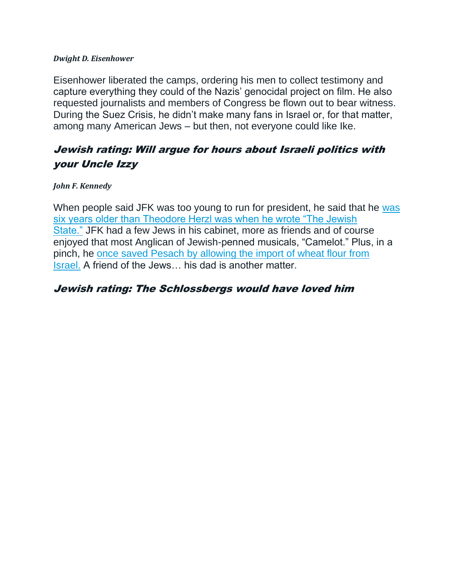#### *Dwight D. Eisenhower*

Eisenhower liberated the camps, ordering his men to collect testimony and capture everything they could of the Nazis' genocidal project on film. He also requested journalists and members of Congress be flown out to bear witness. During the Suez Crisis, he didn't make many fans in Israel or, for that matter, among many American Jews – but then, not everyone could like Ike.

# Jewish rating: Will argue for hours about Israeli politics with your Uncle Izzy

#### *John F. Kennedy*

When people said JFK [was](https://www.jstor.org/stable/23882664?read-now=1&seq=3#page_scan_tab_contents) too young to run for president, he said that he was [six years older than Theodore Herzl was when he wrote "The Jewish](https://www.jstor.org/stable/23882664?read-now=1&seq=3#page_scan_tab_contents)  [State."](https://www.jstor.org/stable/23882664?read-now=1&seq=3#page_scan_tab_contents) JFK had a few Jews in his cabinet, more as friends and of course enjoyed that most Anglican of Jewish-penned musicals, "Camelot." Plus, in a pinch, he [once saved Pesach by allowing the import of wheat flour from](https://www.jpost.com/international/how-jfk-saved-passover-for-americas-jews-624239)  [Israel.](https://www.jpost.com/international/how-jfk-saved-passover-for-americas-jews-624239) A friend of the Jews… his dad is another matter.

## Jewish rating: The Schlossbergs would have loved him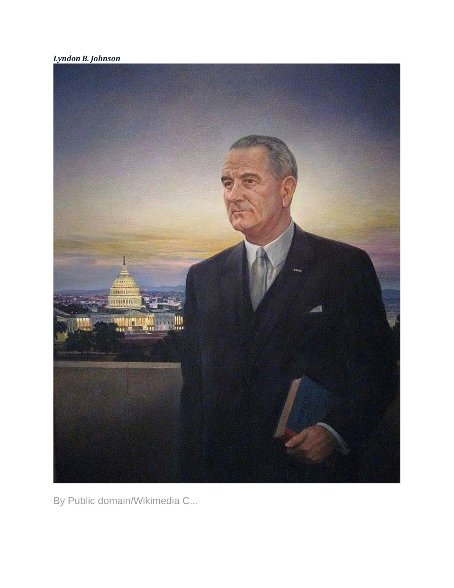*Lyndon B. Johnson*



By Public domain/Wikimedia C...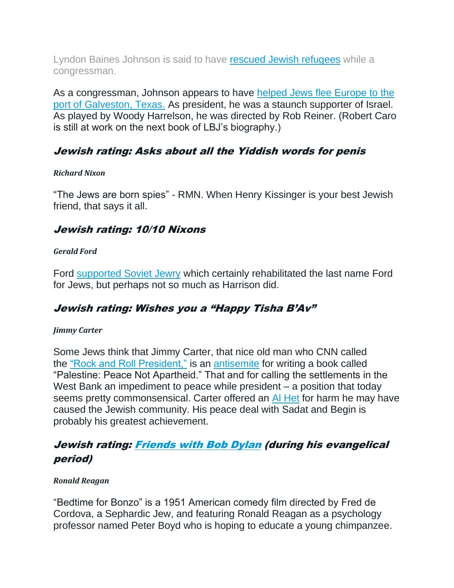Lyndon Baines Johnson is said to have [rescued Jewish refugees](https://www.jewishvirtuallibrary.org/operation-texas) while a congressman.

As a congressman, Johnson appears to have helped Jews flee Europe to the [port of Galveston, Texas.](https://www.jweekly.com/2008/11/28/friend-ally-savior-revealing-lbj-s-jewish-ties/) As president, he was a staunch supporter of Israel. As played by Woody Harrelson, he was directed by Rob Reiner. (Robert Caro is still at work on the next book of LBJ's biography.)

# Jewish rating: Asks about all the Yiddish words for penis

### *Richard Nixon*

"The Jews are born spies" - RMN. When Henry Kissinger is your best Jewish friend, that says it all.

# Jewish rating: 10/10 Nixons

### *Gerald Ford*

Ford [supported Soviet Jewry](https://stljewishlight.org/news/news-local/his-term-was-short-but-gerald-ford-left-mark-on-soviet-jewry-movement/) which certainly rehabilitated the last name Ford for Jews, but perhaps not so much as Harrison did.

# Jewish rating: Wishes you a "Happy Tisha B'Av"

### *Jimmy Carter*

Some Jews think that Jimmy Carter, that nice old man who CNN called the ["Rock and Roll President,"](https://www.imdb.com/title/tt11804758/) is an [antisemite](https://www.haaretz.com/us-news/.premium-why-is-jimmy-carter-still-called-an-antisemite-1.10209433?lts=1645023957716) for writing a book called "Palestine: Peace Not Apartheid." That and for calling the settlements in the West Bank an impediment to peace while president – a position that today seems pretty commonsensical. Carter offered an [Al Het](https://www.thedailybeast.com/cheats/2009/12/24/carter-to-jews-im-sorry) for harm he may have caused the Jewish community. His peace deal with Sadat and Begin is probably his greatest achievement.

# Jewish rating: [Friends with Bob Dylan](https://www.usatoday.com/story/entertainment/music/2020/09/08/bob-dylan-willie-nelson-jimmy-carter-rock-roll-president-new-documentary/5744033002/) (during his evangelical period)

### *Ronald Reagan*

"Bedtime for Bonzo" is a 1951 American comedy film directed by Fred de Cordova, a Sephardic Jew, and featuring Ronald Reagan as a psychology professor named Peter Boyd who is hoping to educate a young chimpanzee.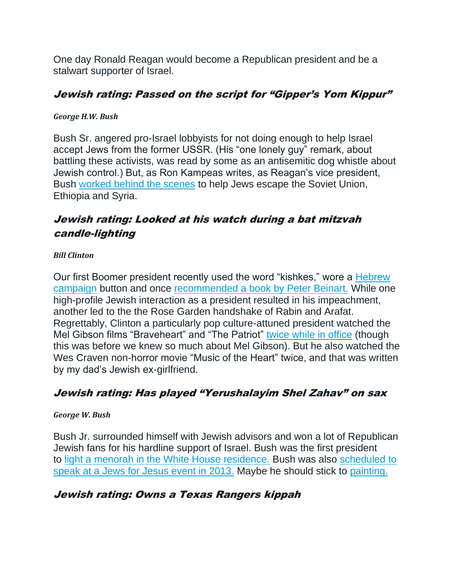One day Ronald Reagan would become a Republican president and be a stalwart supporter of Israel.

# Jewish rating: Passed on the script for "Gipper's Yom Kippur"

## *George H.W. Bush*

Bush Sr. angered pro-Israel lobbyists for not doing enough to help Israel accept Jews from the former USSR. (His "one lonely guy" remark, about battling these activists, was read by some as an antisemitic dog whistle about Jewish control.) But, as Ron Kampeas writes, as Reagan's vice president, Bush [worked behind the scenes](https://forward.com/news/breaking-news/415148/george-hw-bush-the-president-who-grappled-with-jewish-officials-publicly/) to help Jews escape the Soviet Union, Ethiopia and Syria.

# Jewish rating: Looked at his watch during a bat mitzvah candle-lighting

## *Bill Clinton*

Our first Boomer president recently used the word "kishkes," wore a Hebrew [campaign](https://www.timesofisrael.com/why-bill-clintons-hebrew-hillary-button-resonated/) button and once [recommended a book by Peter Beinart.](https://www.washingtonpost.com/blogs/she-the-people/post/bill-clinton-americas-first-jewish-president/2012/02/05/gIQAJ5lusQ_blog.html) While one high-profile Jewish interaction as a president resulted in his impeachment, another led to the the Rose Garden handshake of Rabin and Arafat. Regrettably, Clinton a particularly pop culture-attuned president watched the Mel Gibson films "Braveheart" and "The Patriot" [twice while in office](https://www.novakarchive.com/all-the-presidents-movies/2021/2/9/here-is-every-single-movie-bill-clinton-watched-in-the-white-house) (though this was before we knew so much about Mel Gibson). But he also watched the Wes Craven non-horror movie "Music of the Heart" twice, and that was written by my dad's Jewish ex-girlfriend.

# Jewish rating: Has played "Yerushalayim Shel Zahav" on sax

## *George W. Bush*

Bush Jr. surrounded himself with Jewish advisors and won a lot of Republican Jewish fans for his hardline support of Israel. Bush was the first president to [light a menorah in the White House residence.](https://georgewbush-whitehouse.archives.gov/president/holiday/hanukkah/) Bush was also [scheduled to](https://forward.com/news/breaking-news/187336/convert-the-jews-group-pulls-george-w-bush-from-ga/)  [speak at a Jews for Jesus event in 2013.](https://forward.com/news/breaking-news/187336/convert-the-jews-group-pulls-george-w-bush-from-ga/) Maybe he should stick to [painting.](https://forward.com/schmooze/308255/sheldon-adelson-is-now-the-proud-owner-of-a-george-w-bush-original/)

# Jewish rating: Owns a Texas Rangers kippah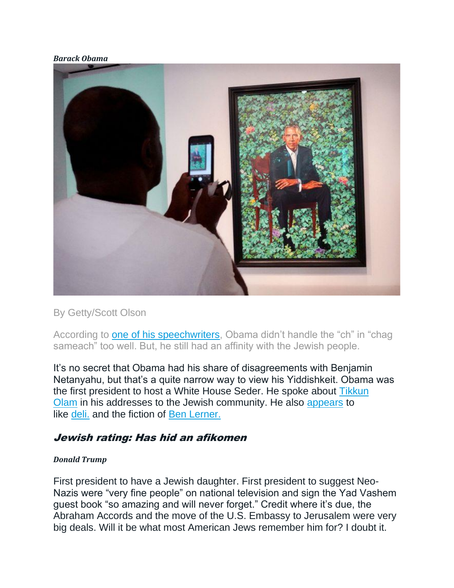#### *Barack Obama*



By Getty/Scott Olson

According to [one of his speechwriters,](https://forward.com/opinion/383829/how-obama-was-our-most-jewish-president-and-trump-our-least/) Obama didn't handle the "ch" in "chag sameach" too well. But, he still had an affinity with the Jewish people.

It's no secret that Obama had his share of disagreements with Benjamin Netanyahu, but that's a quite narrow way to view his Yiddishkeit. Obama was the first president to host a White House Seder. He spoke about [Tikkun](https://forward.com/opinion/383829/how-obama-was-our-most-jewish-president-and-trump-our-least/)  [Olam](https://forward.com/opinion/383829/how-obama-was-our-most-jewish-president-and-trump-our-least/) in his addresses to the Jewish community. He also [appears](https://www.youtube.com/watch?v=E1ZHNvb17-0) to like [deli.](https://www.youtube.com/watch?v=zHppRR-3qas) and the fiction of [Ben Lerner.](https://tscpl.bibliocommons.com/list/share/628692720/1552650659)

## Jewish rating: Has hid an afikomen

#### *Donald Trump*

First president to have a Jewish daughter. First president to suggest Neo-Nazis were "very fine people" on national television and sign the Yad Vashem guest book "so amazing and will never forget." Credit where it's due, the Abraham Accords and the move of the U.S. Embassy to Jerusalem were very big deals. Will it be what most American Jews remember him for? I doubt it.